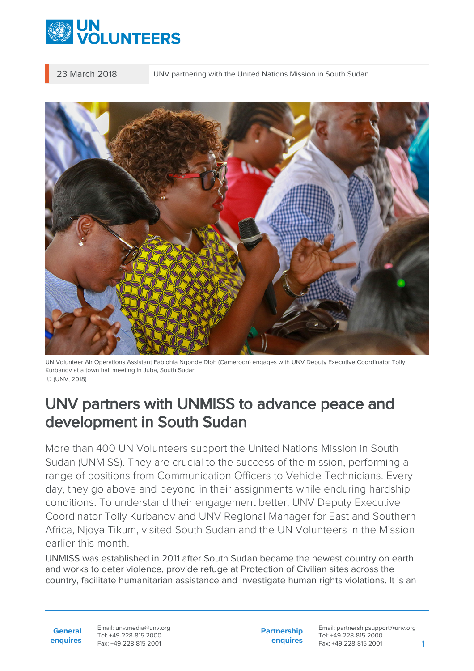

23 March 2018 UNV partnering with the United Nations Mission in South Sudan



UN Volunteer Air Operations Assistant Fabiohla Ngonde Dioh (Cameroon) engages with UNV Deputy Executive Coordinator Toily Kurbanov at a town hall meeting in Juba, South Sudan © (UNV, 2018)

## UNV partners with UNMISS to advance peace and development in South Sudan

More than 400 UN Volunteers support the United Nations Mission in South Sudan (UNMISS). They are crucial to the success of the mission, performing a range of positions from Communication Officers to Vehicle Technicians. Every day, they go above and beyond in their assignments while enduring hardship conditions. To understand their engagement better, UNV Deputy Executive Coordinator Toily Kurbanov and UNV Regional Manager for East and Southern Africa, Njoya Tikum, visited South Sudan and the UN Volunteers in the Mission earlier this month.

UNMISS was established in 2011 after South Sudan became the newest country on earth and works to deter violence, provide refuge at Protection of Civilian sites across the country, facilitate humanitarian assistance and investigate human rights violations. It is an

**General enquires** Email: unv.media@unv.org Tel: +49-228-815 2000 Fax: +49-228-815 2001

**Partnership enquires**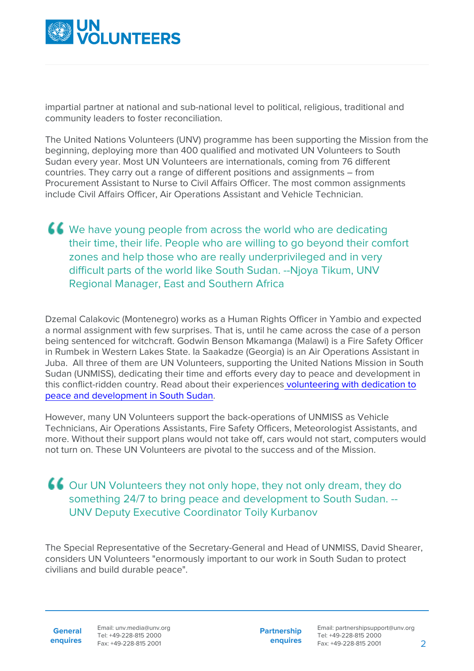

impartial partner at national and sub-national level to political, religious, traditional and community leaders to foster reconciliation.

The United Nations Volunteers (UNV) programme has been supporting the Mission from the beginning, deploying more than 400 qualified and motivated UN Volunteers to South Sudan every year. Most UN Volunteers are internationals, coming from 76 different countries. They carry out a range of different positions and assignments – from Procurement Assistant to Nurse to Civil Affairs Officer. The most common assignments include Civil Affairs Officer, Air Operations Assistant and Vehicle Technician.

We have young people from across the world who are dedicating their time, their life. People who are willing to go beyond their comfort zones and help those who are really underprivileged and in very difficult parts of the world like South Sudan. --Njoya Tikum, UNV Regional Manager, East and Southern Africa

Dzemal Calakovic (Montenegro) works as a Human Rights Officer in Yambio and expected a normal assignment with few surprises. That is, until he came across the case of a person being sentenced for witchcraft. Godwin Benson Mkamanga (Malawi) is a Fire Safety Officer in Rumbek in Western Lakes State. Ia Saakadze (Georgia) is an Air Operations Assistant in Juba. All three of them are UN Volunteers, supporting the United Nations Mission in South Sudan (UNMISS), dedicating their time and efforts every day to peace and development in this conflict-ridden country. Read about their experiences [volunteering with dedication to](https://www.unv.org/our-stories/volunteering-dedication-peace-and-development-south-sudan) [peace and development in South Sudan.](https://www.unv.org/our-stories/volunteering-dedication-peace-and-development-south-sudan)

However, many UN Volunteers support the back-operations of UNMISS as Vehicle Technicians, Air Operations Assistants, Fire Safety Officers, Meteorologist Assistants, and more. Without their support plans would not take off, cars would not start, computers would not turn on. These UN Volunteers are pivotal to the success and of the Mission.

## Our UN Volunteers they not only hope, they not only dream, they do something 24/7 to bring peace and development to South Sudan. --UNV Deputy Executive Coordinator Toily Kurbanov

The Special Representative of the Secretary-General and Head of UNMISS, David Shearer, considers UN Volunteers "enormously important to our work in South Sudan to protect civilians and build durable peace".

**General enquires** Email: unv.media@unv.org Tel: +49-228-815 2000 Fax: +49-228-815 2001

**Partnership enquires**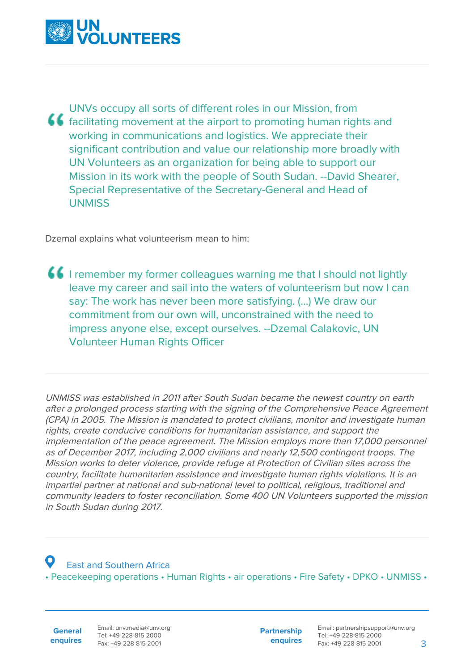

UNVs occupy all sorts of different roles in our Mission, from facilitating movement at the airport to promoting human rights and working in communications and logistics. We appreciate their significant contribution and value our relationship more broadly with UN Volunteers as an organization for being able to support our Mission in its work with the people of South Sudan. --David Shearer, Special Representative of the Secretary-General and Head of **UNMISS** 

Dzemal explains what volunteerism mean to him:

I remember my former colleagues warning me that I should not lightly leave my career and sail into the waters of volunteerism but now I can say: The work has never been more satisfying. (…) We draw our commitment from our own will, unconstrained with the need to impress anyone else, except ourselves. --Dzemal Calakovic, UN Volunteer Human Rights Officer

UNMISS was established in 2011 after South Sudan became the newest country on earth after a prolonged process starting with the signing of the Comprehensive Peace Agreement (CPA) in 2005. The Mission is mandated to protect civilians, monitor and investigate human rights, create conducive conditions for humanitarian assistance, and support the implementation of the peace agreement. The Mission employs more than 17,000 personnel as of December 2017, including 2,000 civilians and nearly 12,500 contingent troops. The Mission works to deter violence, provide refuge at Protection of Civilian sites across the country, facilitate humanitarian assistance and investigate human rights violations. It is an impartial partner at national and sub-national level to political, religious, traditional and community leaders to foster reconciliation. Some 400 UN Volunteers supported the mission in South Sudan during 2017.

 East and Southern Africa • Peacekeeping operations • Human Rights • air operations • Fire Safety • DPKO • UNMISS •

**General enquires** Email: unv.media@unv.org Tel: +49-228-815 2000 Fax: +49-228-815 2001

**Partnership enquires**